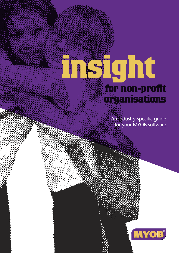# **insight for non-profit organisations**

An industry-specific guide for your MYOB software

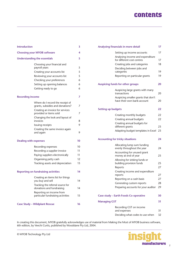### **contents**

| <b>Introduction</b>                        | 3                                                                                                                                        |                  |
|--------------------------------------------|------------------------------------------------------------------------------------------------------------------------------------------|------------------|
| <b>Choosing your MYOB software</b>         | 4                                                                                                                                        |                  |
| <b>Understanding the essentials</b>        | 5                                                                                                                                        |                  |
|                                            | Choosing your financial and<br>payroll years<br>Creating your accounts list<br>Reviewing your accounts list<br>Checking your preferences | 5<br>5<br>5<br>6 |
|                                            | Setting up opening balances                                                                                                              | 6                |
|                                            | Getting ready to go                                                                                                                      | 6                |
| <b>Recording income</b>                    |                                                                                                                                          | 7                |
|                                            | Where do I record the receipt of<br>grants, subsidies and donations?                                                                     | 7                |
|                                            | Creating an invoice for services<br>provided or items sold                                                                               | 7                |
|                                            | Changing the look and layout of<br>invoices                                                                                              | 8                |
|                                            | Issuing receipts                                                                                                                         | 9                |
|                                            | Creating the same invoice again<br>and again                                                                                             | 9                |
| <b>Dealing with expenses</b>               |                                                                                                                                          | 10               |
|                                            | Recording expenses                                                                                                                       | 10               |
|                                            | Recording a supplier invoice                                                                                                             | 11               |
|                                            | Paying suppliers electronically                                                                                                          | 11               |
|                                            | Organising petty cash                                                                                                                    | 12               |
|                                            | Tracking assets and depreciation                                                                                                         | 13               |
| <b>Reporting on fundraising activities</b> | 14                                                                                                                                       |                  |
|                                            | Creating an items list for things<br>you buy and sell                                                                                    | 14               |
|                                            | Tracking the referral source for<br>donations and fundraising                                                                            | 14               |
|                                            | Reporting on income from<br>particular fundraising activities                                                                            | 15               |
| <b>Case Study - Wildplant Rescue</b>       |                                                                                                                                          | 16               |
|                                            |                                                                                                                                          |                  |

|                           | Analysing financials in more detail                                | 17 |
|---------------------------|--------------------------------------------------------------------|----|
|                           | Setting up income accounts                                         | 17 |
|                           | Analysing income and expenditure                                   |    |
|                           | for different cost centres                                         | 17 |
|                           | Creating jobs and categories                                       | 18 |
|                           | Deciding between jobs and<br>categories                            | 19 |
|                           | Reporting on particular grants                                     | 19 |
|                           | <b>Auspicing funds for other groups</b>                            | 20 |
|                           | Auspicing large grants with many                                   |    |
|                           | transactions                                                       | 20 |
|                           | Auspicing smaller grants that don't<br>have their own bank account | 20 |
| <b>Setting up budgets</b> |                                                                    | 22 |
|                           | Creating monthly budgets                                           | 22 |
|                           | Creating annual budgets                                            | 22 |
|                           | Creating annual budgets for                                        |    |
|                           | different grants                                                   | 23 |
|                           | Adapting budget templates in Excel                                 | 23 |
|                           | <b>Accounting for tricky situations</b>                            | 24 |
|                           | Allocating lump sum funding                                        |    |
|                           | evenly throughout the year                                         | 24 |
|                           | Accounting for unused grant<br>money at end of year                | 25 |
|                           | Allowing for sinking funds or                                      |    |
|                           | building provision funds                                           | 25 |
|                           | Reports                                                            | 27 |
|                           | Creating income and expenditure<br>reports                         | 27 |
|                           | Reporting on a cash basis                                          | 27 |
|                           | Generating custom reports                                          | 28 |
|                           | Preparing accounts for your auditor                                | 29 |
|                           | <b>Case study - Earth Foods Co-operative</b>                       | 30 |
| <b>Managing GST</b>       |                                                                    | 31 |
|                           | Recording GST on income                                            |    |
|                           | and expenses                                                       | 31 |
|                           | Deciding what codes to use when                                    | 32 |

In creating this document, MYOB gratefully acknowledges use of material from Making the Most of MYOB business software, 6th edition, by Veechi Curtis, published by Woodslane Pty Ltd, 2004.

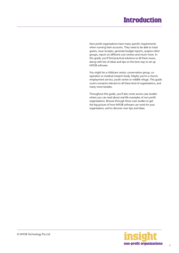### **Introduction**

<span id="page-2-0"></span>Non-profit organisations have many specific requirements when running their accounts. They need to be able to track grants, issue receipts, generate budget reports, auspice other groups, report on different cost centres and much more. In this guide, you'll find practical solutions to all these issues, along with lots of ideas and tips on the best way to set up MYOB software.

You might be a childcare centre, conservation group, cooperative or medical research body. Maybe you're a church, employment service, youth centre or wildlife refuge. This guide covers scenarios relevant to all these kind of organisations, and many more besides.

Throughout this guide, you'll also come across case studies where you can read about real-life examples of non-profit organisations. Browse through these case studies to get the big picture of how MYOB software can work for your organisation, and to discover new tips and ideas.

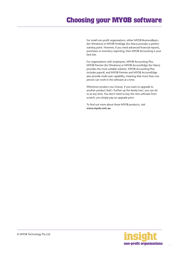### <span id="page-3-0"></span>**Choosing your MYOB software**

For small non-profit organisations, either MYOB BusinessBasics (for Windows) or MYOB FirstEdge (for Macs) provides a perfect starting point. However, if you need advanced financial reports, purchases or inventory reporting, then MYOB Accounting is your best bet.

For organisations with employees, MYOB Accounting Plus, MYOB Premier (for Windows) or MYOB AccountEdge (for Macs) provides the most suitable solution. MYOB Accounting Plus includes payroll, and MYOB Premier and MYOB AccountEdge also provide multi-user capability, meaning that more than one person can work in the software at a time.

Whichever product you choose, if you want to upgrade to another product that's 'further up the family tree', you can do so at any time. You don't need to buy the new software from scratch; you simply pay an upgrade price.

To find out more about these MYOB products, visit **www.myob.com.au** .

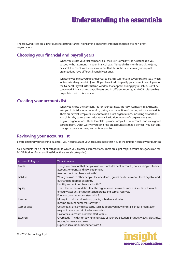<span id="page-4-0"></span>The following steps are a brief guide to getting started, highlighting important information specific to non-profit organisations.

#### **Choosing your financial and payroll years**

When you create your first company file, the New Company File Assistant asks you to specify the last month in your financial year. Although this month defaults to June, be careful to check with your accountant that this is the case, as many non-profit organisations have different financial year-ends.

Whatever you select your financial year to be, this will not affect your payroll year, which in Australia always ends in June. All you have to do is specify your current payroll year in the **General Payroll Information** window that appears during payroll setup. Don't be concerned if financial and payroll years end in different months, as MYOB software has no problem with this scenario.

#### **Creating your accounts list**

When you create the company file for your business, the New Company File Assistant asks you to build your accounts list, giving you the option of starting with a standard list. There are several templates relevant to non-profit organisations, including associations and clubs; day care centres, educational institutions non-profit organisations and religious organisations. These templates provide sample lists of accounts and are a good starting point. Don't worry if you can't find an accounts list that is perfect - you can add, change or delete as many accounts as you like.

#### **Reviewing your accounts list**

Before entering your opening balances, you need to adapt your accounts list so that it suits the unique needs of your business.

Your accounts list is a list of categories to which you allocate all transactions. There are eight major account categories (or, for MYOB BusinessBasics and FirstEdge, there are six categories).

| <b>Account Category</b> | What it means                                                                               |
|-------------------------|---------------------------------------------------------------------------------------------|
| Assets                  | Things you own, or that people owe you. Includes bank accounts, outstanding customer        |
|                         | accounts or grants and new equipment.                                                       |
|                         | Asset account numbers start with 1.                                                         |
| <b>Liabilities</b>      | What you owe to other people. Includes loans, grants paid in advance, taxes payable and     |
|                         | outstanding supplier accounts.                                                              |
|                         | Liability account numbers start with 2.                                                     |
| Equity                  | This is the surplus or deficit that the organisation has made since its inception. Examples |
|                         | of equity accounts include retained profits and capital reserves.                           |
|                         | Equity account numbers start with 3.                                                        |
| Income                  | Money in! Includes donations, grants, subsidies and sales.                                  |
|                         | Income account numbers start with 4.                                                        |
| Cost of sales           | Cost of sales are any direct costs, such as goods you buy for resale. (Your organisation    |
|                         | may not have any cost of sales accounts.)                                                   |
|                         | Cost of sales account numbers start with 5.                                                 |
| Expenses                | Overheads. The day-to-day running costs of your organisation. Includes wages, electricity,  |
|                         | repairs, insurance and so on.                                                               |
|                         | Expense account numbers start with 6.                                                       |

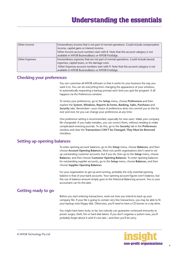<span id="page-5-0"></span>

| Other Income   | Extraordinary income that is not part of normal operations. Could include compensation |
|----------------|----------------------------------------------------------------------------------------|
|                | income, capital gains or interest income.                                              |
|                | Other Income account numbers start with 8. Note that this account category is not      |
|                | available in MYOB BusinessBasics or MYOB FirstEdge.                                    |
| Other Expenses | Extraordinary expenses that are not part of normal operations. Could include lawsuit   |
|                | expenses, capital losses, or fire damage costs.                                        |
|                | Other Expenses account numbers start with 9. Note that this account category is not    |
|                | available in MYOB BusinessBasics or MYOB FirstEdge.                                    |

#### **Checking your preferences**

You can customise all MYOB software so that it works for your business the way you want it to. You can do everything from changing the appearance of your windows, to automatically requesting a backup prompt each time you quit the program. It all happens via the Preferences window.

To review your preferences, go to the **Setup** menu, choose **Preferences** and then explore the **System, Windows, Reports & Forms, Banking, Sales, Purchases** and **Security** tabs. Remember—your choice of preferences does not commit you to this for ever and ever, for you can change your preferences at any time.

One preference setting is recommended, especially for new users. Make your company file *changeable*. If you make mistakes, you can correct them, without needing to make complicated reversing journals. To do this, go to the **Security** tab in the **Preferences** window and clear the **Transactions CAN'T be Changed**; **They Must be Reversed**  checkbox.

#### **Setting up opening balances**

To enter opening account balances, go to the **Setup** menu, choose **Balances**, and then choose **Account Opening Balances**. Most non-profit organisations don't need to set up outstanding customer accounts, but if you do, then go to the **Setup** menu, choose **Balances**, and then choose **Customer Opening Balances**. To enter opening balances for outstanding supplier accounts, go to the **Setup** menu, choose **Balances**, and then choose **Supplier Opening Balances**.

For your organisation to get up and running, probably the only essential opening balance is that of your bank accounts. Your opening account figures won't balance, but this out of balance amount simply goes to the Historical Balancing account. You or your accountant can fix this later.

#### **Getting ready to go**

Before you start entering transactions, work out how you intend to back up your company file. If your file is going to contain very few transactions, you may be able to fit your backup onto floppy disk. Otherwise, you'll need to have a CD burner or a zip drive.

You might have been lucky so far, but nobody can guarantee continued immunity to power surges, theft, fire or hard disk failure. If you don't organise a system now, you'll probably forget about it until it's too late—and then you'll be sorry.

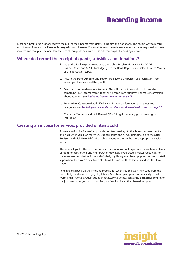<span id="page-6-0"></span>Most non-profit organisations receive the bulk of their income from grants, subsidies and donations. The easiest way to record such transactions is in the **Receive Money** window. However, if you sell items or provide services as well, you may need to create invoices and receipts. The next few sections of this guide deal with these different ways of recording income.

#### **Where do I record the receipt of grants, subsidies and donations?**

- 1. Go to the **Banking** command centre and click **Receive Money** (or, for MYOB BusinessBasics and MYOB FirstEdge, go to the **Bank Register** and select **Receive Money** as the transaction type).
- 2. Record the **Date, Amount** and **Payor** (the **Payor** is the person or organisation from whom you have received the grant).
- 3. Select an income **Allocation Account**. This will start with **4-** and should be called something like "Income from Grant" or "Income from Subsidy". For more information about accounts, see *[Setting up income accounts](#page-16-0) on page 17*.
- 4. Enter **Job** or **Category** details, if relevant. For more information about jobs and categories, see *[Analysing income and expenditure for different cost centres](#page-16-0) on page 17*.
- 5. Check the **Tax** code and click **Record**. (Don't forget that many government grants include GST.)

#### **Creating an invoice for services provided or items sold**

To create an invoice for services provided or items sold, go to the **Sales** command centre and click **Enter Sales** (or, for MYOB BusinessBasics and MYOB FirstEdge, go to the **Sales Register** and click **New Sale**). Next, click **Layout** to choose the most appropriate invoice format.

The service layout is the most common choice for non-profit organisations, as there's plenty of room for descriptions and membership. However, if you create invoices repeatedly for the same service, whether it's rental of a hall, toy library membership, photocopying or staff supervision, then you're best to create 'items' for each of these services and use the item layout.

Item invoices speed up the invoicing process, for when you select an item code from the **Items List**, the description (e.g. Toy Library Membership) appears automatically. Don't worry if this invoice layout includes unnecessary columns, such as the **Backorder** column or the **Job** column, as you can customise your final invoice so that these don't print.

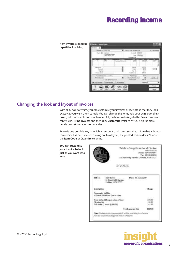### **Recording income**

<span id="page-7-0"></span>

#### **Changing the look and layout of invoices**

With all MYOB software, you can customise your invoices or receipts so that they look exactly as you want them to look. You can change the fonts, add your own logo, draw boxes, add comments and much more. All you have to do is go to the **Sales** command centre, click **Print Invoices** and then click **Customise** (refer to MYOB help for more details on customisation commands).

Below is one possible way in which an account could be customised. Note that although this invoice has been recorded using an Item layout, the printed version doesn't include the **Item Code** or **Quantity** columns.

**You can customise your invoice to look just as you want it to look**

| 12 Community Parado, Catalina, NSW 2121.                                                                                        |
|---------------------------------------------------------------------------------------------------------------------------------|
| <b>INVOICE</b>                                                                                                                  |
| Date: 11 Mauh 2004<br>Kaly Lewis<br>21 Brunwickel Gardens<br>Lothian, NSW 3777                                                  |
| Churge .                                                                                                                        |
| 14 March 2004 Bons 7pm to 10pm                                                                                                  |
| <b><i>STEATENT</i></b><br>250.00<br>Boad infundable upon return of legal<br>20.00<br>flaß zustal (3 lienen är \$15 br)<br>45.00 |
| <b>Total Amount Due</b><br>\$33,00                                                                                              |
| Note: The heps to the consumity half will be available the softenion                                                            |

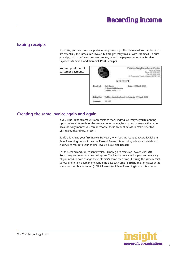### <span id="page-8-0"></span>**Issuing receipts**

If you like, you can issue receipts for money received, rather than a full invoice. Receipts are essentially the same as an invoice, but are generally smaller with less detail. To print a receipt, go to the Sales command centre, record the payment using the **Receive Payments** function, and then click **Print Receipts**.

**You can print receipts customer payments**



#### **Creating the same invoice again and again**

If you issue identical accounts or receipts to many individuals (maybe you're printing up lots of receipts, each for the same amount, or maybe you send someone the same account every month) you can 'memorise' these account details to make repetitive billing a quick and easy process.

To do this, create your first invoice. However, when you are ready to record it click the **Save Recurring** button instead of **Record**. Name this recurring sale appropriately and click **OK** to return to your original invoice. Now click **Record**.

For the second and subsequent invoices, simply go to create an invoice, click **Use Recurring**, and select your recurring sale. The invoice details will appear automatically. All you need to do is change the customer's name each time (if issuing the same receipt to lots of different people), or change the date each time (if issuing the same account to someone month after month). **Click Record** (not **Save Recurring**) once this is done.

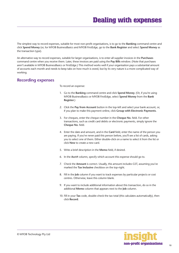<span id="page-9-0"></span>The simplest way to record expenses, suitable for most non-profit organisations, is to go to the **Banking** command centre and click **Spend Money** (or, for MYOB BusinessBasics and MYOB FirstEdge, go to the **Bank Register** and select **Spend Money** as the transaction type).

An alternative way to record expenses, suitable for larger organisations, is to enter all supplier invoices in the **Purchases**  command centre when you receive them. Later, these invoices are paid using the **Pay Bills** window. (Note that purchases aren't available in MYOB BusinessBasics or FirstEdge.) This method works well if your organisation pays a substantial amount of accounts each month and needs to keep tabs on how much is owed, but by its very nature is a more complicated way of working.

#### **Recording expenses**

To record an expense:

- 1. Go to the **Banking** command centre and click **Spend Money**. (Or, if you're using MYOB BusinessBasics or MYOB FirstEdge, select **Spend Money** from the **Bank Register**.)
- 2. Click the **Pay from Account** button in the top-left and select your bank account, or, if you plan to make this payment online, click **Group with Electronic Payments**.
- 3. For cheques, enter the cheque number in the **Cheque No.** field. For other transactions, such as credit card debits or electronic payments, simply ignore the **Cheque No**. field.
- 4. Enter the date and amount, and in the **Card** field, enter the name of the person you are paying. If you've never paid this person before, you'll see a list of cards, asking you to select one of them. Either double-click on a name to select it from the list or click **New** to create a new card.
- 5. Write a brief description in the **Memo** field, if desired.
- 6. In the **Acct#** column, specify which account this expense should go to.
- 7. Check the **Amount** is correct. Usually, this amount includes GST, assuming you've marked the **Tax Inclusive** checkbox on the top-right.
- 8. Fill in the **Job** column if you want to track expenses by particular projects or cost centres. Otherwise, leave this column blank.
- 9. If you want to include additional information about this transaction, do so in the additional **Memo** column that appears next to the **Job** column.
- 10. Fill in your **Tax** code, double-check the tax total (this calculates automatically), then click **Record**.

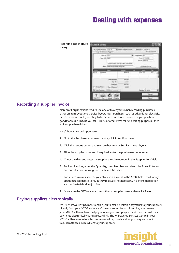<span id="page-10-0"></span>

| <b>Recording expenditure</b><br>is easy | <b>C Spend Money</b><br>N<br>۸r                                                    |                                                                                |                                                             |                                         |                               |
|-----------------------------------------|------------------------------------------------------------------------------------|--------------------------------------------------------------------------------|-------------------------------------------------------------|-----------------------------------------|-------------------------------|
|                                         | Farm Armer 11-1110<br><b>Elishand Dance in</b><br>Stagnable Statement Pappaner     |                                                                                |                                                             | Searce 12, 373,735,22<br>U.Tachigane    |                               |
|                                         | <b>Carl of TEST</b><br>Paper ME 21221<br>Manual Colores all the motion forces can- |                                                                                | w<br><b>Then the deal wid fits Datas wid Durin</b>          | Dietae No.<br>THE 2171-000<br>et 170.20 |                               |
|                                         | <b>WARD</b>                                                                        | <b>Teles</b><br><b>Biometers</b>                                               | 139.95                                                      | Dunam Pp Jat<br><b>PM 133</b>           | <b>Tar</b><br>ш               |
|                                         | <b>ALL FREE</b><br><b>OE</b> Tays Fernancy                                         | Telefriksciand<br>6.21<br><b>La Frant</b><br><b>A Transport</b><br>1 Editorium | <b>175116</b><br><b>TANK BE</b><br>VISION:<br>$\frac{1}{2}$ | <b>Canyon</b> Ill Career                |                               |
|                                         |                                                                                    | <b>Fire</b><br><b>JOHN HE</b>                                                  |                                                             |                                         | <b>Feget</b><br><b>Cancer</b> |

#### **Recording a supplier invoice**

 $is$ 

Non-profit organisations tend to use one of two layouts when recording purchases: either an Item layout or a Service layout. Most purchases, such as advertising, electricity or telephone accounts, are likely to be Service purchases. However, if you purchase goods for resale (maybe you sell T-shirts or other items for fund-raising purposes), then an Item purchase is best.

Here's how to record a purchase:

- 1. Go to the **Purchases** command centre, click **Enter Purchases**.
- 2. Click the **Layout** button and select either Item or **Service** as your layout.
- 3. Fill in the supplier name and if required, enter the purchase order number.
- 4. Check the date and enter the supplier's invoice number in the **Supplier Inv#** field.
- 5. For item invoices, enter the **Quantity**, **Item Number** and check the **Price**. Enter each line one at a time, making sure the final total tallies.
- 6. For service invoices, choose your allocation account in the **Acct#** field. Don't worry about detailed descriptions, as they're usually not necessary. A general description such as 'materials' does just fine.
- 7. Make sure the GST total matches with your supplier invoice, then click **Record**.

#### **Paying suppliers electronically**

MYOB M-Powered® payments enable you to make electronic payments to your suppliers directly from your MYOB software. Once you subscribe to this service, you can use your MYOB software to record payments in your company file and then transmit these payments electronically using a secure link. The M-Powered Services Centre in your MYOB software monitors the progress of all payments and, at your request, emails or faxes remittance advices direct to your suppliers.

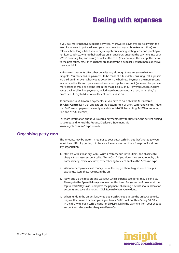<span id="page-11-0"></span>If you pay more than five suppliers per week, M-Powered payments are well worth the fees. If you were to put a value on your own time (or on your bookkeeper's time) and calculate how long it takes you to pay a supplier (including writing a cheque, printing a remittance advice, writing their address on an envelope, entering the payment into your MYOB company file, and so on) as well as the costs (the envelope, the stamp, the petrol to the post office, etc.), then chances are that paying a supplier is much more expensive than you think.

M-Powered payments offer other benefits too, although these are somewhat less tangible. You can schedule payments to be made at future dates, ensuring that suppliers are paid on time, even when you're away from the business. Payments are more secure, as you pay directly from your account into your supplier's account (whereas cheques are more prone to fraud or getting lost in the mail). Finally, an M-Powered Services Centre keeps track of all online payments, including when payments are sent, when they're processed, if they fail due to insufficient finds, and so on.

To subscribe to M-Powered payments, all you have to do is click the **M-Powered Services Centre** icon that appears on the bottom-right of every command centre. (Note that M-Powered payments are only available for MYOB Accounting, MYOB Accounting Plus and MYOB Premier.)

For more information about M-Powered payments, how to subscribe, the current pricing structures, and to read the Product Disclosure Statement, visit **www.myob.com.au/m-powered/** .

#### **Organising petty cash**

The amounts may be 'petty' in regards to your petty cash tin, but that's not to say you won't have difficulty getting it to balance. Here's a method that's fool-proof for almost any organisation:

- 1. Start off with a float, say \$200. Write a cash cheque for this float, and allocate this cheque to an asset account called 'Petty Cash'. If you don't have an account by this name already, create one now, remembering to select **Bank** as the **Account Type**.
- 2. Whenever employees take money out of the tin, get them to give you a receipt in exchange. Store these receipts in the tin.
- 3. Now, add up the receipts and work out which expense categories they belong to. Then go to the **Spend Money** window but this time *change the bank account* at the top to read **Petty Cash**. Complete the payment, allocating it across several allocation accounts and several amounts. Click **Record** when you're done.
- 4. When funds in the tin get low, write out a cash cheque to top the tin back up to its original float value. For example, if you have a \$200 float but there's only \$4.50 left in the tin, write out a cash cheque for \$195.50. Make the payment from your cheque account and allocate this cheque to **Petty Cash**.

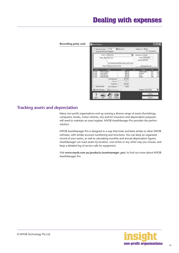<span id="page-12-0"></span>

#### **Tracking assets and depreciation**

Many non-profit organisations end up owning a diverse range of assets (furnishings, computers, books, motor vehicles, etc) and for insurance and depreciation purposes will need to maintain an asset register. MYOB AssetManager Pro provides the perfect solution.

MYOB AssetManager Pro is designed in a way that looks and feels similar to other MYOB software, with similar account numbering and structures. You can keep an organised record of your assets, as well as calculating monthly and annual depreciation figures. AssetManager can track assets by location, cost centre or any other way you choose, and keep a detailed log of service calls for equipment.

Visit **www.myob.com.au/products/assetmanager\_pro/** to find out more about MYOB AssetManager Pro.

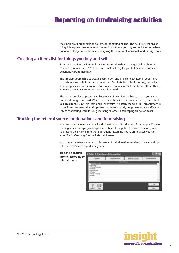### <span id="page-13-0"></span>**Reporting on fundraising activities**

Most non-profit organisations do some form of fund-raising. The next few sections of this guide explain how to set up an items list for things you buy and sell; tracking where donors or pledges come from and analysing the success of individual fund-raising drives.

#### **Creating an items list for things you buy and sell**

Some non-profit organisations buy items to re-sell, either to the general public or via mail-order to members. MYOB software makes it easy for you to track the income and expenditure from these sales.

The simplest approach is to create a description and price for each item in your Items List. When you create these items, mark the **I Sell This Item** checkbox only, and select an appropriate income account. This way you can raise receipts easily and efficiently and if desired, generate sales reports for each item sold.

The more complex approach is to keep track of quantities on hand, so that you record every unit bought and sold. When you create these items in your Items List, mark the **I Sell This Item, I Buy This Item** and **I Inventory This Item** checkboxes. This approach is more time-consuming than simply tracking what you sell, but proves to be an efficient way of monitoring stock levels, generating re-orders and keeping an eye on costs.

#### **Tracking the referral source for donations and fundraising**

You can track the referral source for all donations and fundraising. For example, if you're running a radio campaign asking for members of the public to make donations, when you record the income from these donations (assuming you're using sales), you can enter 'Radio Campaign' as the **Referral Source**.

If you note the referral source in this manner for all donations received, you can call up a Sales Referral Source report at any time.

**Tracking donation income according to referral source**



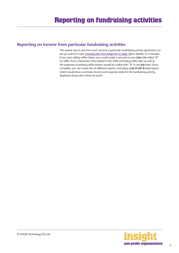#### <span id="page-14-0"></span>**Reporting on income from particular fundraising activities**

The easiest way to see how much income a particular fundraising activity generates is to set up a job for it (see *[Creating jobs and categories on page 18](#page-17-0)* for details). For example, if you were selling raffle tickets, you could create a new job in your **Jobs List** called "R" for raffle. Every transaction that related to the raffle (including raffle sales as well as the expenses of printing raffle tickets) would be coded with "R" in the **Job** field. Once complete, you can create lots of different reports, including a **Job Profit & Loss** report, which would show summary income and expense totals for the fundraising activity, displayed along with a final net profit.

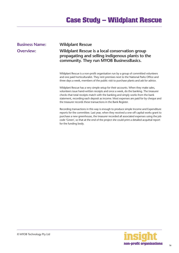#### <span id="page-15-0"></span>**Business Name: Wildplant Rescue**

#### **Overview: Wildplant Rescue is a local conservation group propagating and selling indigenous plants to the community. They run MYOB BusinessBasics.**

Wildplant Rescue is a non-profit organisation run by a group of committed volunteers and one paid horticulturalist. They rent premises next to the National Parks Office and three days a week, members of the public visit to purchase plants and ask for advice.

Wildplant Rescue has a very simple setup for their accounts. When they make sales, volunteers issue hand-written receipts and once a week, do the banking. The treasurer checks that total receipts match with the banking and simply works from the bank statement, recording each deposit as income. Most expenses are paid for by cheque and the treasurer records these transactions in the Bank Register.

Recording transactions in this way is enough to produce simple Income and Expenditure reports for the committee. Last year, when they received a one-off capital works grant to purchase a new greenhouse, the treasurer recorded all associated expenses using the job code 'Green', so that at the end of the project she could print a detailed acquittal report for the funding body.

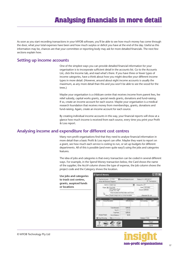<span id="page-16-0"></span>As soon as you start recording transactions in your MYOB software, you'll be able to see how much money has come through the door, what your total expenses have been and how much surplus or deficit you have at the end of the day. Useful as this information may be, chances are that your committee or reporting body may ask for more detailed financials. The next few sections explain how.

#### **Setting up income accounts**

One of the simplest ways you can provide detailed financial information for your organisation is to incorporate sufficient detail in the accounts list. Go to the Accounts List, click the Income tab, and read what's there. If you have three or fewer types of income categories, have a think about how you might describe your different income types in more detail. (However, around about eight income accounts is usually the maximum, as any more detail than this and you won't be able to see the wood for the trees.)

Maybe your organisation is a childcare centre that receives income from parent fees, fee relief subsidy, capital works grants, special needs grants, donations and fund-raising. If so, create an income account for each source. Maybe your organisation is a medical research foundation that receives money from memberships, grants, donations and fund-raising. Again, create an income account for each source.

By creating individual income accounts in this way, your financial reports will show at a glance how much income is received from each source, every time you print your Profit & Loss report.

#### **Analysing income and expenditure for different cost centres**

Many non-profit organisations find that they need to analyse financial information in more detail than a basic Profit & Loss report can offer. Maybe they want to report on a grant, see how much each service is costing to run, or set up budgets for different departments. All of this is possible (and even quite easy!) using the jobs and categories features.

The idea of jobs and categories is that every transaction can be coded in several different ways. For example, in the Spend Money transaction below, the Card shows the name of the supplier; the Acct# column shows the type of expense, the Job column shows the project code and the Category shows the location.



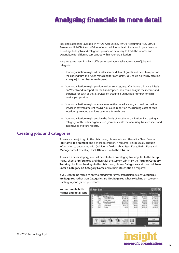<span id="page-17-0"></span>Jobs and categories (available in MYOB Accounting, MYOB Accounting Plus, MYOB Premier and MYOB AccountEdge) offer an additional level of analysis in your financial reporting. Both jobs and categories provide an easy way to track the income and expenditure for different cost centres within your organisation.

Here are some ways in which different organisations take advantage of jobs and categories:

- Your organisation might administer several different grants and need to report on the expenditure and funds remaining for each grant. You could do this by creating a unique job number for each grant.
- Your organisation might provide various services, e.g. after hours childcare, Meals on Wheels and transport for the handicapped. You could analyse the income and expenses for each of these services by creating a unique job number for each service you provide.
- Your organisation might operate in more than one location, e.g. an information service in several different towns. You could report on the running costs of each location by creating a unique category for each one.
- Your organisation might auspice the funds of another organisation. By creating a category for this other organisation, you can create the necessary balance sheet and income/expenditure reports.

#### **Creating jobs and categories**

To create a new job, go to the **Lists** menu, choose Jobs and then click **New**. Enter a **Job Name, Job Number** and a short description, if required. This is usually enough information to get started with (additional fields such as **Start Date, Finish Date** and **Manager** aren't essential). Click **OK** to return to the **Jobs List**.

To create a new category, you first need to turn on category tracking. Go to the **Setup** menu, choose **Preferences**, and then click the **System** tab. Mark the T**urn on Category Tracking** checkbox. Next, go to the **Lists** menu, choose **Categories** and then click **New**. **Enter a Category ID, Category Name** and a short **Description** if required.

If you want to be forced to enter a category for every transaction, select **Categories are Required** rather than **Categories are Not Required** when switching on category tracking in your system preferences.



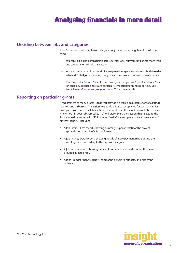#### <span id="page-18-0"></span>**Deciding between jobs and categories**

If you're unsure of whether to use categories or jobs for something, bear the following in mind:

- You can split a single transaction across several jobs, but you can't select more than one category for a single transaction.
- Jobs can be grouped in a way similar to general ledger accounts, with both **Header Jobs** and **Detail Jobs**, meaning that you can have cost centres within cost centres.
- You can print a Balance Sheet for each category, but you can't print a Balance Sheet for each job. Balance Sheets are particularly important for funds reporting. See *[Auspicing funds for other groups on page 20](#page-19-0)* for more details.

#### **Reporting on particular grants**

A requirement of many grants is that you provide a detailed acquittal report of all funds received and disbursed. The easiest way to do this is to set up a job for each grant. For example, if you received a Library Grant, the solution in this situation would be to create a new "job" in your Jobs List called "L" for library. Every transaction that related to the library would be coded with "L" in the Job field. Once complete, you can create lots of different reports, including:

- A Job Profit & Loss report, showing summary expense totals for the project, displayed in standard Profit & Loss format.
- A Job Activity Detail report, showing details of every payment made during the project, grouped according to the expense category.
- A Job Inquiry report, showing details of every payment made during the project, grouped in date order.
- A Jobs [Budget Analysis] report, comparing actuals to budgets, and displaying variances.

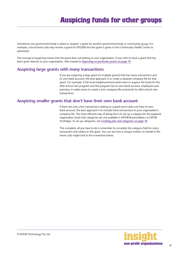### **Auspicing funds for other groups**

<span id="page-19-0"></span>Sometimes one government body is asked to 'auspice' a grant for another government body or community group. For example, a local tennis club may receive a grant for \$10,000 but this grant is given to the Community Health Centre to administer.

The concept of auspicing means that the grant does not belong to your organisation. If you wish to track a grant that has been given directly to your organisation, refer instead to *[Reporting on particular grants on page 19](#page-18-0)* .

#### **Auspicing large grants with many transactions**

If you are auspicing a large grant (or multiple grants) that has many transactions and its own bank account, the best approach is to create a separate company file for that grant. For example, if the local neighbourhood centre were to auspice the funds for the after-school care program and this program has its own bank account, employees and premises, it makes sense to create a new company file exclusively for after-school care transactions.

#### **Auspicing smaller grants that don't have their own bank account**

If there are only a few transactions relating to a grant and it does not have its own bank account, the best approach is to include these transactions in your organisation's company file. The most efficient way of doing this is to set up a *category* for the auspiced organisation (note that categories are not available in MYOB BusinessBasics or MYOB FirstEdge). To set up categories, see *[Creating jobs and categories on page 18](#page-17-0)*.

This complete, all you have to do is remember to complete the category field for every transaction that relates to this grant. You can see how a cheque written on behalf of the tennis club might look in the screenshot below.

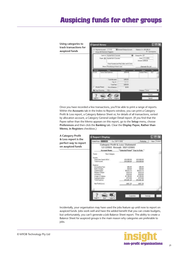### **Auspicing funds for other groups**

**Using categories to track transactions for auspiced funds**



Once you have recorded a few transactions, you'll be able to print a range of reports. Within the **Accounts** tab in the Index to Reports window, you can print a Category Profit & Loss report, a Category Balance Sheet or, for details of all transactions, sorted by allocation account, a Category General Ledger Detail report. (If you find that the Payee rather than the Memo appears on this report, go to the **Setup** menu, choose **Preferences** and then click the **Banking** tab. Clear the **Display Payee, Rather than Memo, in Registers** checkbox.)

**A Category Profit Report Display & Loss report is the**  million William St. (3011-202) **Nissa perfect way to report**  Category Profit & Less Statement **on auspiced funds** 1/11/2003 through 30/11/2003 Advanced Massey "Salested Period" Vear to Sale " New Cangoo **Service** Skitherback NTV 10030030 810,000.06 Teleforme \$13,000,00 \$10,000.00 Contin AnimellyTree<br>Eark Chapte 105.41 **VALUE**  $1500$ 66,472.73 49,472.73 **And of remove** Hepars I. Mary 1316.19  $4118.78$  $\frac{423000}{471000}$ \$230.00 logan & Suitem 120016 una Experient **R15 ASS IN** \$15,463.36 No Polici and \$40.30 \$401.30

Incidentally, your organisation may have used the jobs feature up until now to report on auspiced funds. Jobs work well and have the added benefit that you can create budgets, but unfortunately, you can't generate a Job Balance Sheet report. The ability to create a Balance Sheet for auspiced groups is the main reason why categories are preferable to jobs.

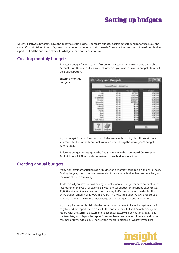<span id="page-21-0"></span>All MYOB software programs have the ability to set up budgets, compare budgets against actuals, send reports to Excel and more. It's worth taking time to figure out what reports your organisation needs. You can either use one of the existing budget reports or find the one that's closest to what you want and send it to Excel.

#### **Creating monthly budgets**

To enter a budget for an account, first go to the Accounts command centre and click Accounts List. Double-click an account for which you wish to create a budget, then click the Budget button.

| <b>Entering monthly</b><br>budgets | <b>U History and Budgets</b>                                                                                                               | $L \mathbb{R}$                                                                                                              |                                                                                         |                                                                                                                  |
|------------------------------------|--------------------------------------------------------------------------------------------------------------------------------------------|-----------------------------------------------------------------------------------------------------------------------------|-----------------------------------------------------------------------------------------|------------------------------------------------------------------------------------------------------------------|
|                                    |                                                                                                                                            | Account Name School Fass                                                                                                    |                                                                                         |                                                                                                                  |
|                                    |                                                                                                                                            | ListVest                                                                                                                    | <b><i><u>Chic View</u></i></b>                                                          | <b>Litron</b>                                                                                                    |
|                                    | <b>LIQUIT</b><br>estending<br>Ichiam<br>Vuventiber<br><b>Vacantines</b><br><b>AFFLAIR</b><br><b>ABOJAD</b><br>Maich<br>Apl<br>Ha<br>Finish | 40.00<br>\$0.00<br>\$0.00<br>\$0.00<br>10:00<br>\$0.00<br>\$0.00<br>\$0.00<br>10.00<br>\$0.00<br>\$13.00<br>\$0.00<br>10.00 | <b>15.820.00</b><br>5.181.68<br>2.699.5<br><b>B4.019.0</b><br>\$0.00<br>\$0.00<br>10.00 | 65.800<br>5.400<br>5,400.00<br>400<br><b>ATTI</b><br>5,400.00<br>400.00<br>400<br>15,400.00<br>400.00<br>$-1411$ |
|                                    |                                                                                                                                            | Shottoutz                                                                                                                   |                                                                                         | QC.                                                                                                              |

If your budget for a particular account is the same each month, click **Shortcut**. Here you can enter the monthly amount just once, completing the whole year's budget automatically.

To look at budget reports, go to the **Analysis** menu in the **Command Centre**, select Profit & Loss, click Filters and choose to compare budgets to actuals.

#### **Creating annual budgets**

Many non-profit organisations don't budget on a monthly basis, but on an annual basis. During the year, they compare how much of their annual budget has been used up, and the value of funds remaining.

To do this, all you have to do is enter your entire annual budget for each account in the first month of the year. For example, if your annual budget for telephone expense was \$3,000 and your financial year ran from January to December, you would enter the entire budget amount of \$3,000 in January. This way, the Budget Analysis report tells you throughout the year what percentage of your budget had been consumed.

If you require greater flexibility in the presentation or layout of your budget reports, it's easy to send the report that's closest to the one you want to Excel. Simply display the report, click the **Send To** button and select Excel. Excel will open automatically, load the template, and display the report. You can then change report titles, cut and paste columns or rows, add colours, convert the report to graphs, or whatever you like!

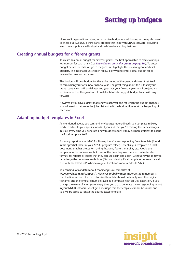### **Setting up budgets**

Non-profit organisations relying on extensive budget or cashflow reports may also want to check out Twokeys, a third party product that links with MYOB software, providing even more sophisticated budget and cashflow forecasting features.

#### <span id="page-22-0"></span>**Creating annual budgets for different grants**

To create an annual budget for different grants, the best approach is to create a unique Job number for each grant (see *[Reporting on particular grants](#page-18-0) on page 19* ). To enter budget details for each job go to the Jobs List, highlight the relevant grant and click Budgets. The list of accounts which follow allow you to enter a total budget for all relevant income and expenses.

This budget will be a budget for the entire period of the grant and doesn't set itself to zero when you start a new financial year. The great thing about this is that if your grant spans across a financial year end (perhaps your financial year runs from January to December but the grant runs from March to February), all budget totals will carry forward.

However, if you have a grant that renews each year and for which the budget changes, you will need to return to the **Jobs List** and edit the budget figures at the beginning of each year.

#### **Adapting budget templates in Excel**

As mentioned above, you can send any budget report directly to a template in Excel, ready to adapt to your specific needs. If you find that you're making the same changes in Excel every time you generate a new budget report, it may be more efficient to adapt the Excel template itself.

For every report in your MYOB software, there's a corresponding Excel template (found in the Spredsht folder of your MYOB program folder). Essentially, a template is a 'shell document' that has preset formatting, headers, footers, margins, etc. People use templates for lots of reasons, but most of the time they use them to create standard formats for reports or letters that they can use again and again, without having to retype or redesign the document each time. (You can identify Excel templates because they all end with the letters 'xlt', whereas regular Excel documents end with 'xls'.)

You can find lots of detail about modifying Excel templates at

**www.myob.com.au/support/** . However, probably most important to remember is that the final version of your customised template should preferably keep the original filename, and the template must be saved as a template, with an '.xlt' extension. If you change the name of a template, every time you try to generate the corresponding report in your MYOB software, you'll get a message that the template cannot be found, and you will be asked to locate the desired Excel template.

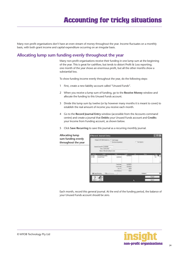### **Accounting for tricky situations**

<span id="page-23-0"></span>Many non-profit organisations don't have an even stream of money throughout the year. Income fluctuates on a monthly basis, with both grant income and capital expenditure occurring on an irregular basis.

#### **Allocating lump sum funding evenly throughout the year**

Many non-profit organisations receive their funding in one lump sum at the beginning of the year. This is great for cashflow, but tends to distort Profit & Loss reporting; one month of the year shows an enormous profit, but all the other months show a substantial loss.

To show funding income evenly throughout the year, do the following steps:

- 1 First, create a new liability account called "Unused Funds".
- 2 When you receive a lump sum of funding, go to the **Receive Money** window and allocate the funding to this Unused Funds account.
- 3 Divide this lump sum by twelve (or by however many months it is meant to cover) to establish the real amount of income you receive each month.
- 4 Go to the **Record Journal Entry** window (accessible from the Accounts command centre) and create a journal that **Debits** your Unused Funds account and **Credits** your Income from Funding account, as shown below.
- 5 Click **Save Recurring** to save this journal as a recurring monthly journal.



Each month, record this general journal. At the end of the funding period, the balance of your Unused Funds account should be zero.

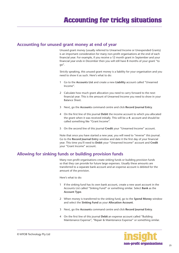#### <span id="page-24-0"></span>**Accounting for unused grant money at end of year**

Unused grant money (usually referred to Unearned Income or Unexpended Grants) is an important consideration for many non-profit organisations at the end of each financial year. For example, if you receive a 12 month grant in September and your financial year ends in December then you will still have 8 months of your grant "to go".

Strictly speaking, this unused grant money is a liability for your organisation and you need to show it as such. Here's what to do:

- 1 Go to the **Accounts List** and create a new **Liability** account called "Unearned Income".
- 2 Calculate how much grant allocation you need to carry forward to the next financial year. This is the amount of Unearned Income you need to show in your Balance Sheet.
- 3 Next, go the **Accounts** command centre and click **Record Journal Entry**.
- 4 On the first line of this journal **Debit** the income account to which you allocated the grant when it was received initially. This will be a **4-** account and should be called something like "Grant Income".
- 5 On the second line of this journal **Credit** your "Unearned Income" account.

Note that once you have started a new year, you will need to "reverse" this journal. Go to the **Record Journal Entry** window and date it the first day of your financial year. This time you'll need to **Debit** your "Unearned Income" account and **Credit** your "Grant Income" account.

#### **Allowing for sinking funds or building provision funds**

Many non-profit organisations create sinking funds or building provision funds so that they can provide for future large expenses. Usually these amounts are transferred to a separate bank account and an expense account is debited for the amount of the provision.

Here's what to do:

- 1 If the sinking fund has its own bank account, create a new asset account in the Accounts List called "Sinking Fund" or something similar. Select **Bank** as the **Account Type**.
- 2 When money is transferred to the sinking fund, go to the **Spend Money** window and select the **Sinking Fund** as your **Allocation Account**.
- 3 Next, go the **Accounts** command centre and click **Record Journal Entry**.
- 4 On the first line of this journal **Debit** an expense account called "Building Maintenance Expense", "Repair & Maintenance Expense" or something similar.

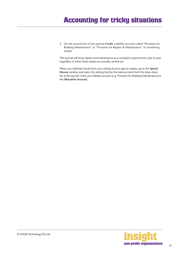5 On the second line of this journal **Credit** a liability account called "Provision for Building Maintenance" or "Provision for Repairs & Maintenance" or something similar.

This journal will show repairs and maintenance as a consistent expense from year to year, regardless of when these repairs are actually carried out.

When you withdraw funds from your sinking fund to pay for repairs, go to the **Spend Money** window and select the sinking fund as the bank account from the drop-down list at the top left. Enter your liability account (e.g. Provision for Building Maintenance) as the **Allocation Account**.

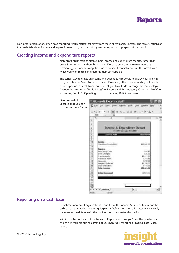<span id="page-26-0"></span>Non-profit organisations often have reporting requirements that differ from those of regular businesses. The follow sections of this guide talk about income and expenditure reports, cash reporting, custom reports and preparing for an audit.

#### **Creating income and expenditure reports**

Non-profit organisations often expect income and expenditure reports, rather than profit & loss reports. Although the only difference between these two reports is terminology, it's worth taking the time to present financial reports in the format with which your committee or director is most comfortable.

The easiest way to create an income and expenditure report is to display your Profit & Loss, and click the **Send To** button. Select **Exce**l and, after a few seconds, you'll see this report open up in Excel. From this point, all you have to do is change the terminology. Change the heading of 'Profit & Loss' to 'Income and Expenditure'; 'Operating Profit' to 'Operating Surplus'; 'Operating Loss' to 'Operating Deficit' and so on.



#### **Reporting on a cash basis**

Sometimes non-profit organisations request that the Income & Expenditure report be cash-based, so that the Operating Surplus or Deficit shown on this statement is exactly the same as the difference in the bank account balance for that period.

Within the **Accounts** tab of the **Index to Reports** window, you'll see that you have a choice between producing a **Profit & Loss [Accrual]** report or a **Profit & Loss [Cash]** report.

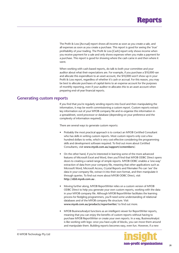

<span id="page-27-0"></span>The Profit & Loss [Accrual] report shows all income as soon as you create a sale, and all expenses as soon as you create a purchase. This report is good for seeing the 'true' profitability of your trading. The Profit & Loss [Cash] report only shows income when you receive payment for a sale and only shows expenses when you make a payment for a purchase. This report is good for showing where the cash came in and then where it went.

When working with cash-based reports, do talk to both your committee and your auditor about what their expectations are. For example, if you purchase a \$10,000 van and allocate this expenditure to an asset account, the \$10,000 won't show up in your Profit & Loss report, regardless of whether it's cash or accrual. For this reason, you may be best to allocate purchases of capital items to an expense account for the purposes of monthly reporting, even if your auditor re-allocates this to an asset account when preparing end-of-year financial reports.

#### **Generating custom reports**

If you find that you're regularly sending reports into Excel and then manipulating the information, it may be worth commissioning a custom report. Custom reports extract key information out of your MYOB company file and re-organise this information in a spreadsheet, word processor or database (depending on your preference and the complexity of information required).

There are several ways to generate custom reports:

- Probably the most practical approach is to contact an MYOB Certified Consultant who has skills in writing custom reports. Most custom reports only cost a few hundred dollars to write, which is very cost-effective considering the programming skills and development software required. To find out more about Certified Consultants, visit **www.myob.com.au/support/ccmembers/**.
- On the other hand, if you're interested in learning some of the more advanced features of Microsoft Excel and Word, then you'll find that MYOB ODBC Direct opens doors to creating a varied range of simple reports. MYOB ODBC enables a 'one-way' extraction of data from your company file, meaning that other applications such as Microsoft Word, Microsoft Access, Crystal Reports and Filemaker Pro can 'see' the data in your company file, extract it into their own format, and then manipulate it through queries. To find out more about MYOB ODBC Direct, visit **http://d2d.myob.com.au** .
- Moving further along, MYOB ReportWriter relies on a custom version of MYOB ODBC Direct to help you generate your own custom reports, working with the data in your MYOB company file. Although MYOB ReportWriter facilitates the learning process for fledgling programmers, you'll need some understanding of relational databases and of the MYOB company file structure. Visit **www.myob.com.au/products/reportwriter/** to find out more.
- MYOB BusinessAnalyst functions as an intelligent viewer for ReportWriter reports, meaning that you can enjoy the benefits of custom reports without having to purchase MYOB ReportWriter or create your own reports. In a way, BusinessAnalyst is like working with lego: once you have a pile of blocks, you can move them around and manipulate them. Building reports becomes easy, even fun. However, if a new

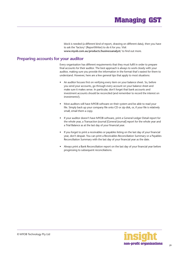block is needed (a different kind of report, drawing on different data), then you have to ask the 'factory' (ReportWriter) to do it for you. Visit **www.myob.com.au/products/businessanalyst/** to find out more.

#### <span id="page-28-0"></span>**Preparing accounts for your auditor**

Every organisation has different requirements that they must fulfil in order to prepare final accounts for their auditor. The best approach is always to work closely with your auditor, making sure you provide the information in the format that's easiest for them to understand. However, here are a few general tips that apply to most situations:

- An auditor focuses first on verifying every item on your balance sheet. So, before you send your accounts, go through every account on your balance sheet and make sure it makes sense. In particular, don't forget that bank accounts and investment accounts should be reconciled (and remember to record the interest on investments!).
- Most auditors will have MYOB software on their system and be able to read your file. Simply back up your company file onto CD or zip disk, or, if your file is relatively small, email them a copy.
- If your auditor doesn't have MYOB software, print a General Ledger Detail report for the whole year, a Transaction Journal [General Journal] report for the whole year and a Trial Balance as at the last day of your financial year.
- If you forget to print a receivables or payables listing on the last day of your financial year, don't despair. You can print a Receivables Reconciliation Summary or a Payables Reconciliation Summary with the last day of your financial year as the date.
- Always print a Bank Reconciliation report on the last day of your financial year before progressing to subsequent reconciliations.

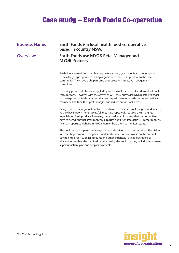## **Case study – Earth Foods Co-operative**

<span id="page-29-0"></span>

| <b>Business Name:</b><br>Earth Foods is a local health food co-operative,<br>based in country NSW. |                                                                                                                                                                                                                                                                                                                                                                                                                                            |  |
|----------------------------------------------------------------------------------------------------|--------------------------------------------------------------------------------------------------------------------------------------------------------------------------------------------------------------------------------------------------------------------------------------------------------------------------------------------------------------------------------------------------------------------------------------------|--|
| <b>Overview:</b>                                                                                   | Earth Foods use MYOB RetailManager and<br><b>MYOB Premier.</b>                                                                                                                                                                                                                                                                                                                                                                             |  |
|                                                                                                    | Earth Foods started from humble beginnings twenty years ago, but has now grown<br>to be a fairly large operation, selling organic foods and fresh produce to the local<br>community. They have eight part-time employees and an active management<br>committee.                                                                                                                                                                            |  |
|                                                                                                    | For many years, Earth Foods struggled by with a simple cash register adorned with only<br>three buttons. However, with the advent of GST, they purchased MYOB RetailManager<br>to manage point-of-sale, a system that has helped them to provide improved service to<br>members, fine-tune their profit margins and reduce out-of-stock items.                                                                                             |  |
|                                                                                                    | Being a non-profit organisation, Earth Foods run on minimal profit margins, and indeed,<br>as they have grown more successful, they have repeatedly reduced their margins,<br>especially on fresh produce. However, these small margins mean that the committee<br>have to be vigilant that small monthly surpluses don't turn into deficits. Prompt monthly<br>financial reports straight from MYOB Premier help them to monitor results. |  |
|                                                                                                    | The bookkeeper is a part-voluntary position and prefers to work from home. She dials up<br>into the shop computer using her broadband connection and works on the accounts,<br>paying employees, supplier accounts and other expenses. To keep operations as<br>efficient as possible, she tries to do as she can by electronic transfer, including employee<br>superannuation, pays and supplier payments.                                |  |

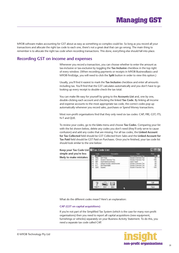<span id="page-30-0"></span>MYOB software makes accounting for GST about as easy as something so complex could be. So long as you record all your transactions and allocate the right tax code to each one, there's not a great deal that can go wrong. The main thing to remember is to allocate the right tax code when recording transactions. This done, everything else should fall into place.

#### **Recording GST on income and expenses**

Whenever you record a transaction, you can choose whether to enter the amount as tax-inclusive or tax-exclusive by toggling the **Tax Inclusive** checkbox in the top right of every window. (When recording payments or receipts in MYOB BusinessBasics and MYOB FirstEdge, you will need to click the **Split** button in order to view this option.)

Usually, you'll find it easiest to mark the **Tax Inclusive** checkbox and enter all amounts including tax. You'll find that the GST calculates automatically and you don't have to go looking up every receipt to double-check the tax total.

You can make life easy for yourself by going to the **Accounts List** and, one by one, double-clicking each account and checking the linked **Tax Code**. By linking all income and expense accounts to the most appropriate tax code, the correct codes pop up automatically whenever you record sales, purchases or Spend Money transactions.

Most non-profit organisations find that they only need six tax codes: CAP; FRE; GST; ITS; N-T and QUE.

To review your codes, go to the **Lists** menu and choose **Tax Codes**. Comparing your list with the list shown below, delete any codes you don't need (they'll only serve to cause confusion) and add any codes that are missing. For all tax codes, the **Linked Account for Tax Collected** field should be GST Collected from Sales and the **Linked Account for Tax Paid** field should be GST Paid on Purchases. Once you're finished, your tax code list should look similar to the one below:



What do the different codes mean? Here's an explanation:

#### **CAP (GST on capital acquisitions)**

If you're not part of the Simplified Tax System (which is the case for many non-profit organisations) then you need to report all capital acquisitions (new equipment, furnishings or vehicles) separately on your Business Activity Statement. To do this, you need a separate tax code called CAP.

![](_page_30_Picture_12.jpeg)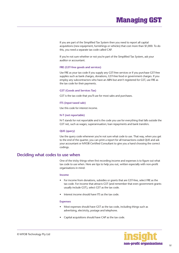<span id="page-31-0"></span>If you are part of the Simplified Tax System then you need to report all capital acquisitions (new equipment, furnishings or vehicles) that cost more than \$1,000. To do this, you need a separate tax code called CAP.

If you're not sure whether or not you're part of the Simplified Tax System, ask your auditor or accountant.

#### **FRE (GST-free goods and services)**

Use FRE as your tax code if you supply any GST-free services or if you purchase GST-free supplies such as bank charges, donations, GST-free food or government charges. If you employ any subcontractors who have an ABN but aren't registered for GST, use FRE as the tax code for their payments.

#### **GST (Goods and Services Tax)**

GST is the tax code that you'll use for most sales and purchases.

#### **ITS (input taxed sale)**

Use this code for interest income.

#### **N-T (not reportable)**

N-T stands for not reportable and is the code you use for everything that falls outside the GST net, such as wages; superannuation; loan repayments and bank transfers.

#### **QUE (query)**

Use the query code whenever you're not sure what code to use. That way, when you get to the end of the quarter, you can print a report for all transactions coded QUE and ask your accountant or MYOB Certified Consultant to give you a hand choosing the correct codings.

#### **Deciding what codes to use when**

One of the tricky things when first recording income and expenses is to figure out what tax code to use when. Here are tips to help you out, written especially with non-profit organisations in mind:

#### **Income**

- For income from donations, subsidies or grants that are GST-free, select FRE as the tax code. For income that attracts GST (and remember that even government grants usually include GST), select GST as the tax code.
- Interest income should have ITS as the tax code.

#### **Expenses**

- Most expenses should have GST as the tax code, including things such as advertising, electricity, postage and telephone.
- Capital acquisitions should have CAP as the tax code.

![](_page_31_Picture_21.jpeg)